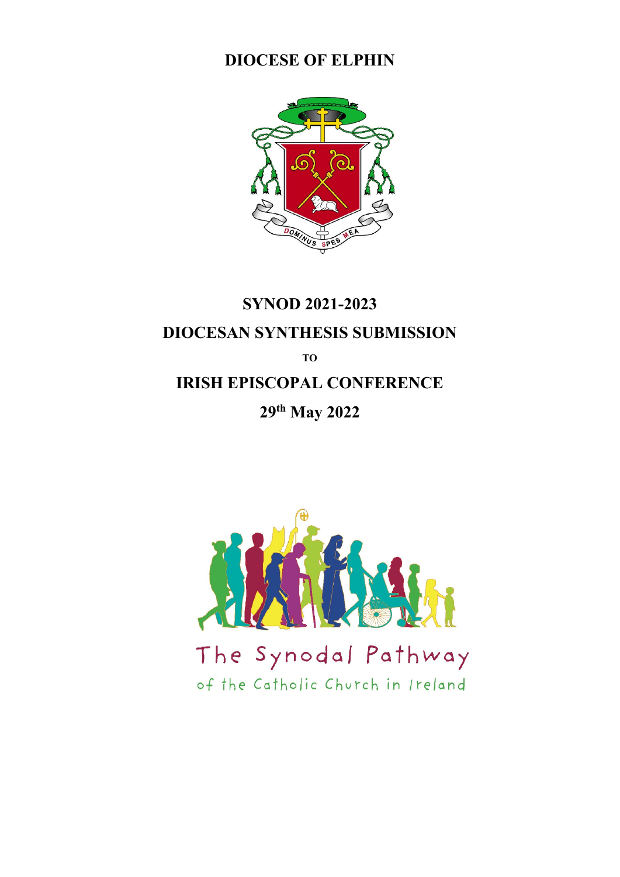## **DIOCESE OF ELPHIN**



# **SYNOD 2021-2023 DIOCESAN SYNTHESIS SUBMISSION TO IRISH EPISCOPAL CONFERENCE 29th May 2022**

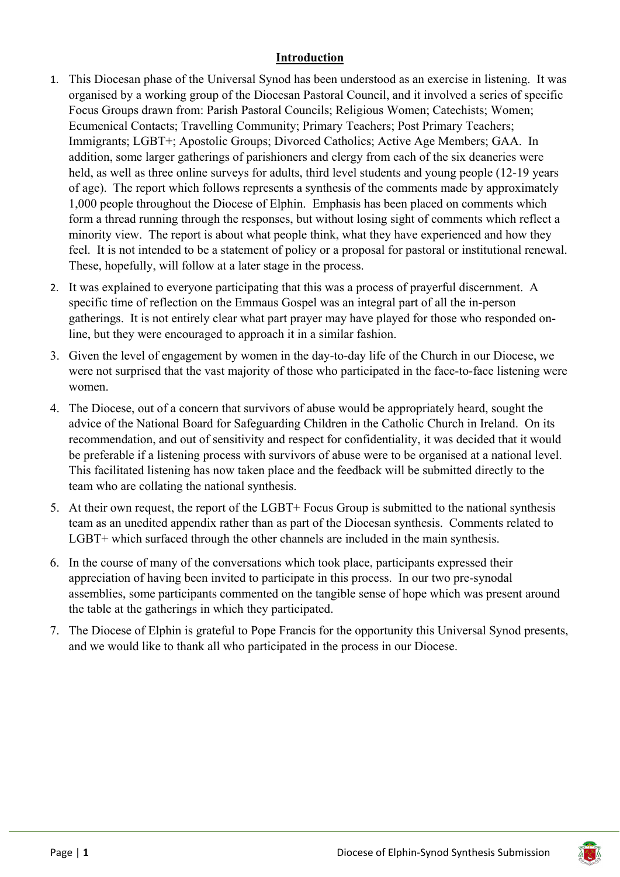#### **Introduction**

- 1. This Diocesan phase of the Universal Synod has been understood as an exercise in listening. It was organised by a working group of the Diocesan Pastoral Council, and it involved a series of specific Focus Groups drawn from: Parish Pastoral Councils; Religious Women; Catechists; Women; Ecumenical Contacts; Travelling Community; Primary Teachers; Post Primary Teachers; Immigrants; LGBT+; Apostolic Groups; Divorced Catholics; Active Age Members; GAA. In addition, some larger gatherings of parishioners and clergy from each of the six deaneries were held, as well as three online surveys for adults, third level students and young people (12-19 years of age). The report which follows represents a synthesis of the comments made by approximately 1,000 people throughout the Diocese of Elphin. Emphasis has been placed on comments which form a thread running through the responses, but without losing sight of comments which reflect a minority view. The report is about what people think, what they have experienced and how they feel. It is not intended to be a statement of policy or a proposal for pastoral or institutional renewal. These, hopefully, will follow at a later stage in the process.
- 2. It was explained to everyone participating that this was a process of prayerful discernment. A specific time of reflection on the Emmaus Gospel was an integral part of all the in-person gatherings. It is not entirely clear what part prayer may have played for those who responded online, but they were encouraged to approach it in a similar fashion.
- 3. Given the level of engagement by women in the day-to-day life of the Church in our Diocese, we were not surprised that the vast majority of those who participated in the face-to-face listening were women.
- 4. The Diocese, out of a concern that survivors of abuse would be appropriately heard, sought the advice of the National Board for Safeguarding Children in the Catholic Church in Ireland. On its recommendation, and out of sensitivity and respect for confidentiality, it was decided that it would be preferable if a listening process with survivors of abuse were to be organised at a national level. This facilitated listening has now taken place and the feedback will be submitted directly to the team who are collating the national synthesis.
- 5. At their own request, the report of the LGBT+ Focus Group is submitted to the national synthesis team as an unedited appendix rather than as part of the Diocesan synthesis. Comments related to LGBT+ which surfaced through the other channels are included in the main synthesis.
- 6. In the course of many of the conversations which took place, participants expressed their appreciation of having been invited to participate in this process. In our two pre-synodal assemblies, some participants commented on the tangible sense of hope which was present around the table at the gatherings in which they participated.
- 7. The Diocese of Elphin is grateful to Pope Francis for the opportunity this Universal Synod presents, and we would like to thank all who participated in the process in our Diocese.

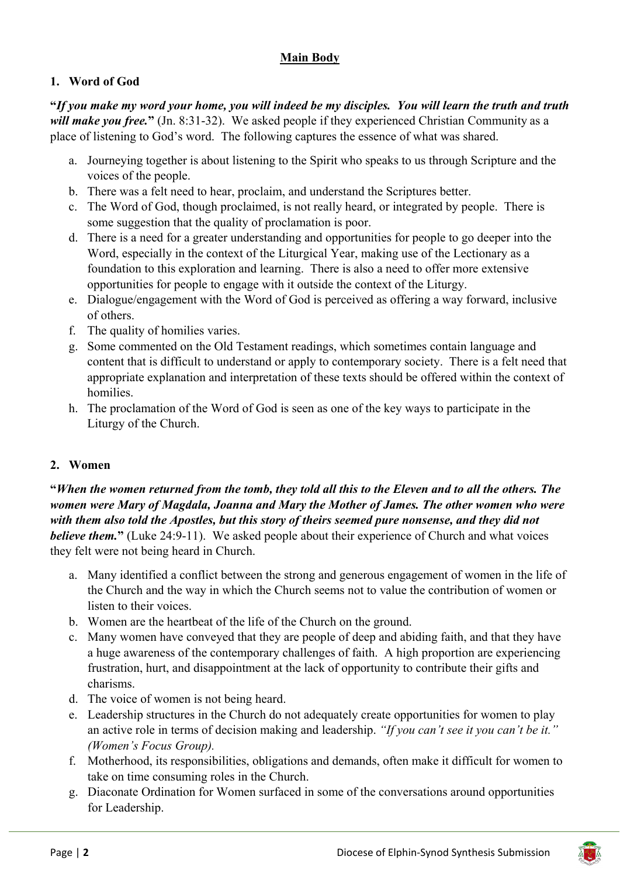## **Main Body**

## **1. Word of God**

**"***If you make my word your home, you will indeed be my disciples. You will learn the truth and truth will make you free.***"** (Jn. 8:31-32). We asked people if they experienced Christian Community as a place of listening to God's word. The following captures the essence of what was shared.

- a. Journeying together is about listening to the Spirit who speaks to us through Scripture and the voices of the people.
- b. There was a felt need to hear, proclaim, and understand the Scriptures better.
- c. The Word of God, though proclaimed, is not really heard, or integrated by people. There is some suggestion that the quality of proclamation is poor.
- d. There is a need for a greater understanding and opportunities for people to go deeper into the Word, especially in the context of the Liturgical Year, making use of the Lectionary as a foundation to this exploration and learning. There is also a need to offer more extensive opportunities for people to engage with it outside the context of the Liturgy.
- e. Dialogue/engagement with the Word of God is perceived as offering a way forward, inclusive of others.
- f. The quality of homilies varies.
- g. Some commented on the Old Testament readings, which sometimes contain language and content that is difficult to understand or apply to contemporary society. There is a felt need that appropriate explanation and interpretation of these texts should be offered within the context of homilies.
- h. The proclamation of the Word of God is seen as one of the key ways to participate in the Liturgy of the Church.

## **2. Women**

**"***When the women returned from the tomb, they told all this to the Eleven and to all the others. The women were Mary of Magdala, Joanna and Mary the Mother of James. The other women who were with them also told the Apostles, but this story of theirs seemed pure nonsense, and they did not believe them.***"** (Luke 24:9-11). We asked people about their experience of Church and what voices they felt were not being heard in Church.

- a. Many identified a conflict between the strong and generous engagement of women in the life of the Church and the way in which the Church seems not to value the contribution of women or listen to their voices.
- b. Women are the heartbeat of the life of the Church on the ground.
- c. Many women have conveyed that they are people of deep and abiding faith, and that they have a huge awareness of the contemporary challenges of faith. A high proportion are experiencing frustration, hurt, and disappointment at the lack of opportunity to contribute their gifts and charisms.
- d. The voice of women is not being heard.
- e. Leadership structures in the Church do not adequately create opportunities for women to play an active role in terms of decision making and leadership. *"If you can't see it you can't be it." (Women's Focus Group).*
- f. Motherhood, its responsibilities, obligations and demands, often make it difficult for women to take on time consuming roles in the Church.
- g. Diaconate Ordination for Women surfaced in some of the conversations around opportunities for Leadership.

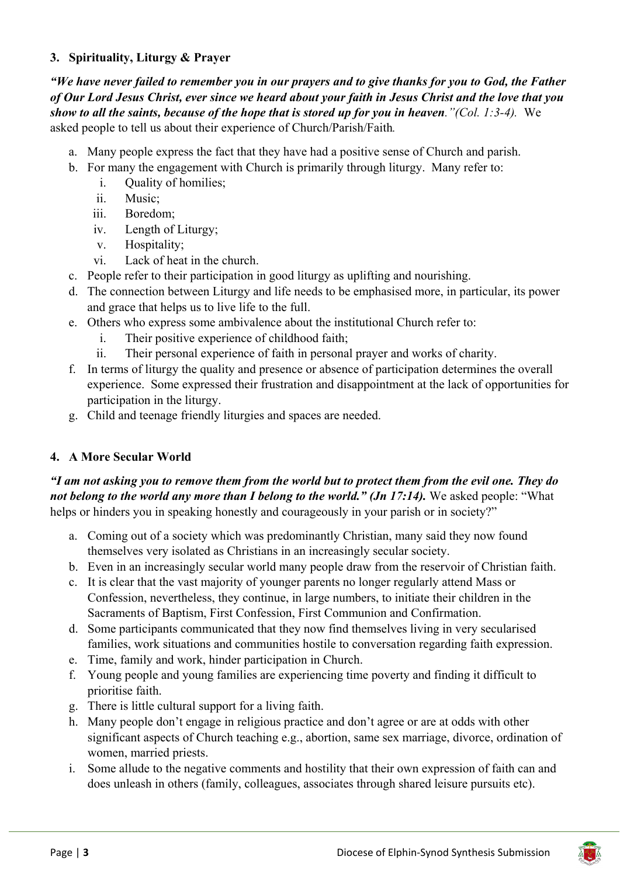#### **3. Spirituality, Liturgy & Prayer**

*"We have never failed to remember you in our prayers and to give thanks for you to God, the Father of Our Lord Jesus Christ, ever since we heard about your faith in Jesus Christ and the love that you show to all the saints, because of the hope that is stored up for you in heaven."(Col. 1:3-4).* We asked people to tell us about their experience of Church/Parish/Faith*.* 

- a. Many people express the fact that they have had a positive sense of Church and parish.
- b. For many the engagement with Church is primarily through liturgy. Many refer to:
	- i. Quality of homilies;
	- ii. Music;
	- iii. Boredom;
	- iv. Length of Liturgy;
	- v. Hospitality;
	- vi. Lack of heat in the church.
- c. People refer to their participation in good liturgy as uplifting and nourishing.
- d. The connection between Liturgy and life needs to be emphasised more, in particular, its power and grace that helps us to live life to the full.
- e. Others who express some ambivalence about the institutional Church refer to:
	- i. Their positive experience of childhood faith;
	- ii. Their personal experience of faith in personal prayer and works of charity.
- f. In terms of liturgy the quality and presence or absence of participation determines the overall experience. Some expressed their frustration and disappointment at the lack of opportunities for participation in the liturgy.
- g. Child and teenage friendly liturgies and spaces are needed.

#### **4. A More Secular World**

*"I am not asking you to remove them from the world but to protect them from the evil one. They do not belong to the world any more than I belong to the world." (Jn 17:14).* We asked people: "What helps or hinders you in speaking honestly and courageously in your parish or in society?"

- a. Coming out of a society which was predominantly Christian, many said they now found themselves very isolated as Christians in an increasingly secular society.
- b. Even in an increasingly secular world many people draw from the reservoir of Christian faith.
- c. It is clear that the vast majority of younger parents no longer regularly attend Mass or Confession, nevertheless, they continue, in large numbers, to initiate their children in the Sacraments of Baptism, First Confession, First Communion and Confirmation.
- d. Some participants communicated that they now find themselves living in very secularised families, work situations and communities hostile to conversation regarding faith expression.
- e. Time, family and work, hinder participation in Church.
- f. Young people and young families are experiencing time poverty and finding it difficult to prioritise faith.
- g. There is little cultural support for a living faith.
- h. Many people don't engage in religious practice and don't agree or are at odds with other significant aspects of Church teaching e.g., abortion, same sex marriage, divorce, ordination of women, married priests.
- i. Some allude to the negative comments and hostility that their own expression of faith can and does unleash in others (family, colleagues, associates through shared leisure pursuits etc).

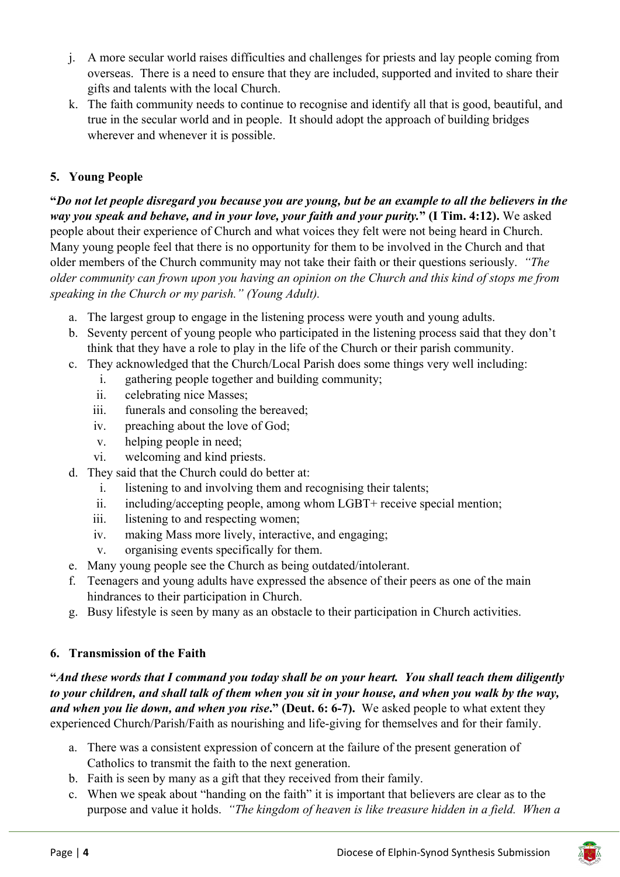- j. A more secular world raises difficulties and challenges for priests and lay people coming from overseas. There is a need to ensure that they are included, supported and invited to share their gifts and talents with the local Church.
- k. The faith community needs to continue to recognise and identify all that is good, beautiful, and true in the secular world and in people. It should adopt the approach of building bridges wherever and whenever it is possible.

#### **5. Young People**

**"***Do not let people disregard you because you are young, but be an example to all the believers in the way you speak and behave, and in your love, your faith and your purity.***" (I Tim. 4:12).** We asked people about their experience of Church and what voices they felt were not being heard in Church. Many young people feel that there is no opportunity for them to be involved in the Church and that older members of the Church community may not take their faith or their questions seriously. *"The older community can frown upon you having an opinion on the Church and this kind of stops me from speaking in the Church or my parish." (Young Adult).* 

- a. The largest group to engage in the listening process were youth and young adults.
- b. Seventy percent of young people who participated in the listening process said that they don't think that they have a role to play in the life of the Church or their parish community.
- c. They acknowledged that the Church/Local Parish does some things very well including:
	- i. gathering people together and building community;
		- ii. celebrating nice Masses;
	- iii. funerals and consoling the bereaved;
	- iv. preaching about the love of God;
	- v. helping people in need;
	- vi. welcoming and kind priests.
- d. They said that the Church could do better at:
	- i. listening to and involving them and recognising their talents;
	- ii. including/accepting people, among whom LGBT+ receive special mention;
	- iii. listening to and respecting women;
	- iv. making Mass more lively, interactive, and engaging;
	- v. organising events specifically for them.
- e. Many young people see the Church as being outdated/intolerant.
- f. Teenagers and young adults have expressed the absence of their peers as one of the main hindrances to their participation in Church.
- g. Busy lifestyle is seen by many as an obstacle to their participation in Church activities.

#### **6. Transmission of the Faith**

**"***And these words that I command you today shall be on your heart. You shall teach them diligently to your children, and shall talk of them when you sit in your house, and when you walk by the way, and when you lie down, and when you rise***." (Deut. 6: 6-7).** We asked people to what extent they experienced Church/Parish/Faith as nourishing and life-giving for themselves and for their family.

- a. There was a consistent expression of concern at the failure of the present generation of Catholics to transmit the faith to the next generation.
- b. Faith is seen by many as a gift that they received from their family.
- c. When we speak about "handing on the faith" it is important that believers are clear as to the purpose and value it holds. *"The kingdom of heaven is like treasure hidden in a field. When a*

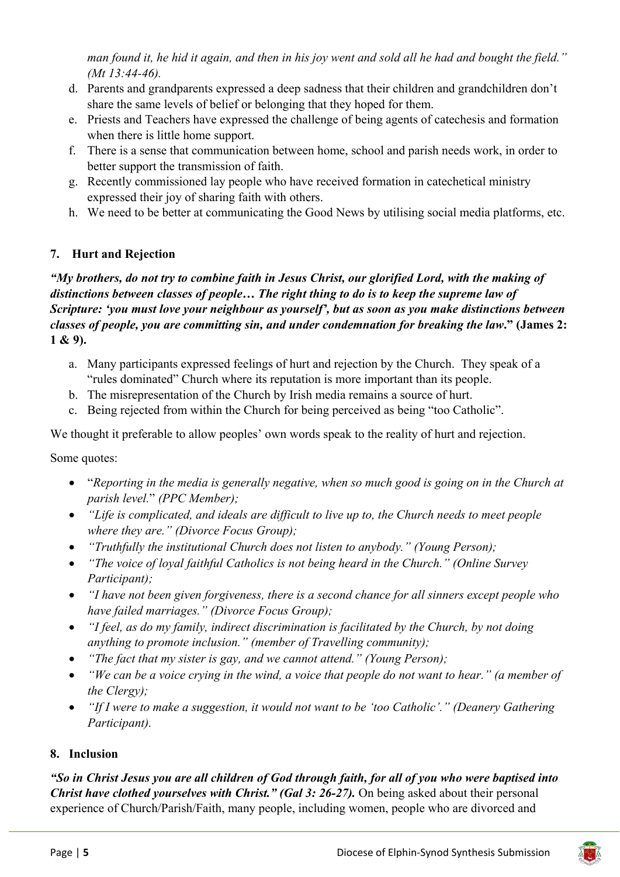*man found it, he hid it again, and then in his joy went and sold all he had and bought the field." (Mt 13:44-46).*

- d. Parents and grandparents expressed a deep sadness that their children and grandchildren don't share the same levels of belief or belonging that they hoped for them.
- e. Priests and Teachers have expressed the challenge of being agents of catechesis and formation when there is little home support.
- f. There is a sense that communication between home, school and parish needs work, in order to better support the transmission of faith.
- g. Recently commissioned lay people who have received formation in catechetical ministry expressed their joy of sharing faith with others.
- h. We need to be better at communicating the Good News by utilising social media platforms, etc.

## **7. Hurt and Rejection**

*"My brothers, do not try to combine faith in Jesus Christ, our glorified Lord, with the making of distinctions between classes of people… The right thing to do is to keep the supreme law of Scripture: 'you must love your neighbour as yourself', but as soon as you make distinctions between classes of people, you are committing sin, and under condemnation for breaking the law***." (James 2: 1 & 9).** 

- a. Many participants expressed feelings of hurt and rejection by the Church. They speak of a "rules dominated" Church where its reputation is more important than its people.
- b. The misrepresentation of the Church by Irish media remains a source of hurt.
- c. Being rejected from within the Church for being perceived as being "too Catholic".

We thought it preferable to allow peoples' own words speak to the reality of hurt and rejection.

Some quotes:

- "*Reporting in the media is generally negative, when so much good is going on in the Church at parish level.*" *(PPC Member);*
- *"Life is complicated, and ideals are difficult to live up to, the Church needs to meet people where they are." (Divorce Focus Group);*
- *"Truthfully the institutional Church does not listen to anybody." (Young Person);*
- *"The voice of loyal faithful Catholics is not being heard in the Church." (Online Survey Participant);*
- *"I have not been given forgiveness, there is a second chance for all sinners except people who have failed marriages." (Divorce Focus Group);*
- *"I feel, as do my family, indirect discrimination is facilitated by the Church, by not doing anything to promote inclusion." (member of Travelling community);*
- *"The fact that my sister is gay, and we cannot attend." (Young Person);*
- *"We can be a voice crying in the wind, a voice that people do not want to hear." (a member of the Clergy);*
- *"If I were to make a suggestion, it would not want to be 'too Catholic'." (Deanery Gathering Participant).*

#### **8. Inclusion**

*"So in Christ Jesus you are all children of God through faith, for all of you who were baptised into Christ have clothed yourselves with Christ." (Gal 3: 26-27).* On being asked about their personal experience of Church/Parish/Faith, many people, including women, people who are divorced and

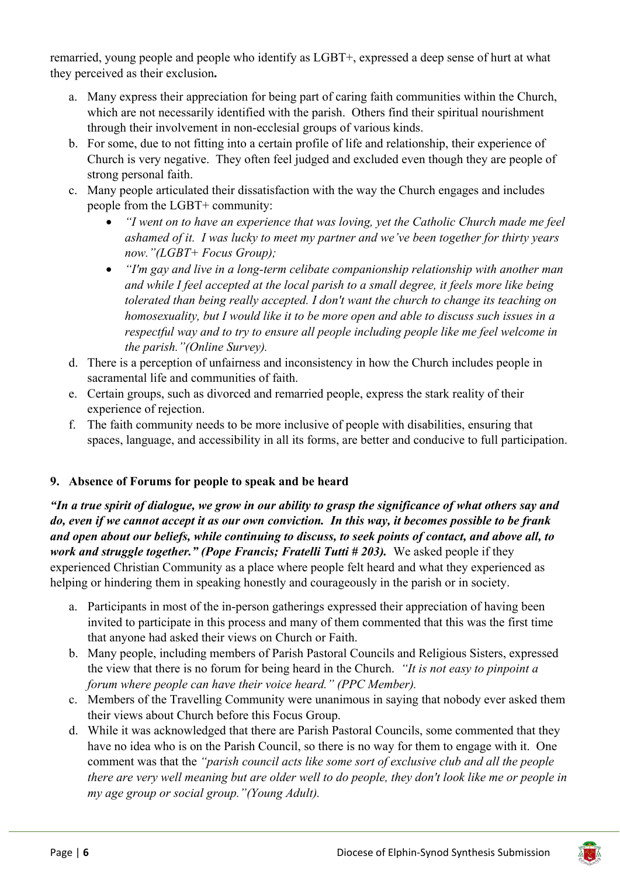remarried, young people and people who identify as LGBT+, expressed a deep sense of hurt at what they perceived as their exclusion**.** 

- a. Many express their appreciation for being part of caring faith communities within the Church, which are not necessarily identified with the parish. Others find their spiritual nourishment through their involvement in non-ecclesial groups of various kinds.
- b. For some, due to not fitting into a certain profile of life and relationship, their experience of Church is very negative. They often feel judged and excluded even though they are people of strong personal faith.
- c. Many people articulated their dissatisfaction with the way the Church engages and includes people from the LGBT+ community:
	- *"I went on to have an experience that was loving, yet the Catholic Church made me feel ashamed of it. I was lucky to meet my partner and we've been together for thirty years now."(LGBT+ Focus Group);*
	- *"I'm gay and live in a long-term celibate companionship relationship with another man and while I feel accepted at the local parish to a small degree, it feels more like being tolerated than being really accepted. I don't want the church to change its teaching on homosexuality, but I would like it to be more open and able to discuss such issues in a respectful way and to try to ensure all people including people like me feel welcome in the parish."(Online Survey).*
- d. There is a perception of unfairness and inconsistency in how the Church includes people in sacramental life and communities of faith.
- e. Certain groups, such as divorced and remarried people, express the stark reality of their experience of rejection.
- f. The faith community needs to be more inclusive of people with disabilities, ensuring that spaces, language, and accessibility in all its forms, are better and conducive to full participation.

#### **9. Absence of Forums for people to speak and be heard**

*"In a true spirit of dialogue, we grow in our ability to grasp the significance of what others say and do, even if we cannot accept it as our own conviction. In this way, it becomes possible to be frank and open about our beliefs, while continuing to discuss, to seek points of contact, and above all, to work and struggle together." (Pope Francis; Fratelli Tutti # 203).* We asked people if they experienced Christian Community as a place where people felt heard and what they experienced as helping or hindering them in speaking honestly and courageously in the parish or in society.

- a. Participants in most of the in-person gatherings expressed their appreciation of having been invited to participate in this process and many of them commented that this was the first time that anyone had asked their views on Church or Faith.
- b. Many people, including members of Parish Pastoral Councils and Religious Sisters, expressed the view that there is no forum for being heard in the Church. *"It is not easy to pinpoint a forum where people can have their voice heard." (PPC Member).*
- c. Members of the Travelling Community were unanimous in saying that nobody ever asked them their views about Church before this Focus Group.
- d. While it was acknowledged that there are Parish Pastoral Councils, some commented that they have no idea who is on the Parish Council, so there is no way for them to engage with it. One comment was that the *"parish council acts like some sort of exclusive club and all the people there are very well meaning but are older well to do people, they don't look like me or people in my age group or social group."(Young Adult).*

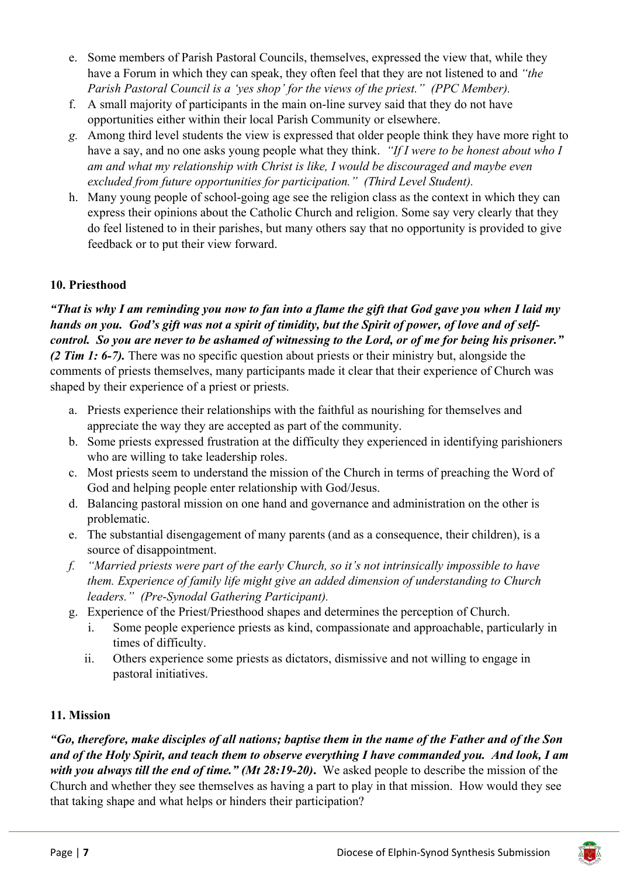- e. Some members of Parish Pastoral Councils, themselves, expressed the view that, while they have a Forum in which they can speak, they often feel that they are not listened to and *"the Parish Pastoral Council is a 'yes shop' for the views of the priest." (PPC Member).*
- f. A small majority of participants in the main on-line survey said that they do not have opportunities either within their local Parish Community or elsewhere.
- *g.* Among third level students the view is expressed that older people think they have more right to have a say, and no one asks young people what they think. *"If I were to be honest about who I am and what my relationship with Christ is like, I would be discouraged and maybe even excluded from future opportunities for participation." (Third Level Student).*
- h. Many young people of school-going age see the religion class as the context in which they can express their opinions about the Catholic Church and religion. Some say very clearly that they do feel listened to in their parishes, but many others say that no opportunity is provided to give feedback or to put their view forward.

#### **10. Priesthood**

*"That is why I am reminding you now to fan into a flame the gift that God gave you when I laid my hands on you. God's gift was not a spirit of timidity, but the Spirit of power, of love and of selfcontrol. So you are never to be ashamed of witnessing to the Lord, or of me for being his prisoner." (2 Tim 1: 6-7).* There was no specific question about priests or their ministry but, alongside the comments of priests themselves, many participants made it clear that their experience of Church was shaped by their experience of a priest or priests.

- a. Priests experience their relationships with the faithful as nourishing for themselves and appreciate the way they are accepted as part of the community.
- b. Some priests expressed frustration at the difficulty they experienced in identifying parishioners who are willing to take leadership roles.
- c. Most priests seem to understand the mission of the Church in terms of preaching the Word of God and helping people enter relationship with God/Jesus.
- d. Balancing pastoral mission on one hand and governance and administration on the other is problematic.
- e. The substantial disengagement of many parents (and as a consequence, their children), is a source of disappointment.
- *f. "Married priests were part of the early Church, so it's not intrinsically impossible to have them. Experience of family life might give an added dimension of understanding to Church leaders." (Pre-Synodal Gathering Participant).*
- g. Experience of the Priest/Priesthood shapes and determines the perception of Church.
	- i. Some people experience priests as kind, compassionate and approachable, particularly in times of difficulty.
	- ii. Others experience some priests as dictators, dismissive and not willing to engage in pastoral initiatives.

#### **11. Mission**

*"Go, therefore, make disciples of all nations; baptise them in the name of the Father and of the Son and of the Holy Spirit, and teach them to observe everything I have commanded you. And look, I am with you always till the end of time." (Mt 28:19-20)***.** We asked people to describe the mission of the Church and whether they see themselves as having a part to play in that mission. How would they see that taking shape and what helps or hinders their participation?

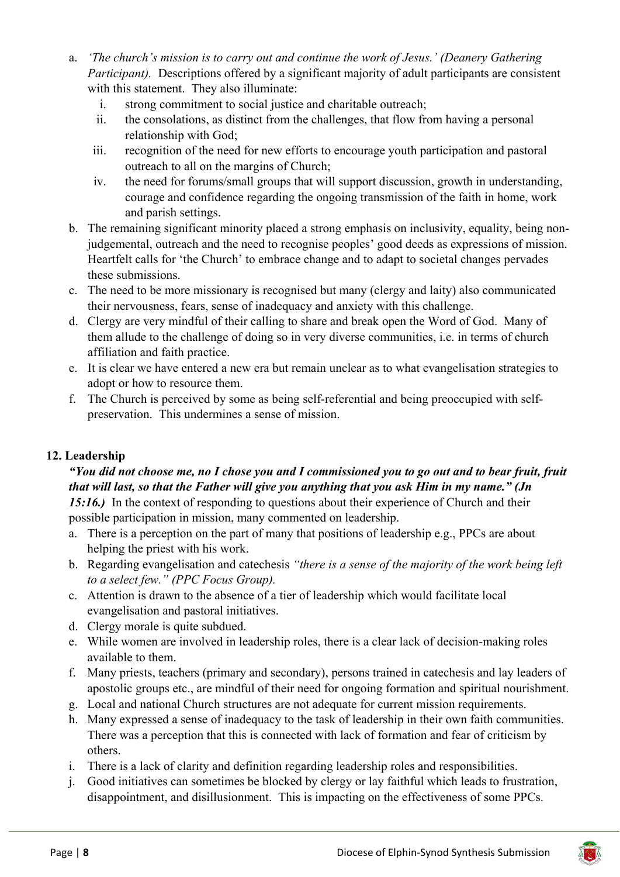- a. *'The church's mission is to carry out and continue the work of Jesus.' (Deanery Gathering Participant*). Descriptions offered by a significant majority of adult participants are consistent with this statement. They also illuminate:
	- i. strong commitment to social justice and charitable outreach;
	- ii. the consolations, as distinct from the challenges, that flow from having a personal relationship with God;
	- iii. recognition of the need for new efforts to encourage youth participation and pastoral outreach to all on the margins of Church;
	- iv. the need for forums/small groups that will support discussion, growth in understanding, courage and confidence regarding the ongoing transmission of the faith in home, work and parish settings.
- b. The remaining significant minority placed a strong emphasis on inclusivity, equality, being nonjudgemental, outreach and the need to recognise peoples' good deeds as expressions of mission. Heartfelt calls for 'the Church' to embrace change and to adapt to societal changes pervades these submissions.
- c. The need to be more missionary is recognised but many (clergy and laity) also communicated their nervousness, fears, sense of inadequacy and anxiety with this challenge.
- d. Clergy are very mindful of their calling to share and break open the Word of God. Many of them allude to the challenge of doing so in very diverse communities, i.e. in terms of church affiliation and faith practice.
- e. It is clear we have entered a new era but remain unclear as to what evangelisation strategies to adopt or how to resource them.
- f. The Church is perceived by some as being self-referential and being preoccupied with selfpreservation. This undermines a sense of mission.

#### **12. Leadership**

#### *"You did not choose me, no I chose you and I commissioned you to go out and to bear fruit, fruit that will last, so that the Father will give you anything that you ask Him in my name." (Jn*  15:16.) In the context of responding to questions about their experience of Church and their

possible participation in mission, many commented on leadership.

- a. There is a perception on the part of many that positions of leadership e.g., PPCs are about helping the priest with his work.
- b. Regarding evangelisation and catechesis *"there is a sense of the majority of the work being left to a select few." (PPC Focus Group).*
- c. Attention is drawn to the absence of a tier of leadership which would facilitate local evangelisation and pastoral initiatives.
- d. Clergy morale is quite subdued.
- e. While women are involved in leadership roles, there is a clear lack of decision-making roles available to them.
- f. Many priests, teachers (primary and secondary), persons trained in catechesis and lay leaders of apostolic groups etc., are mindful of their need for ongoing formation and spiritual nourishment.
- g. Local and national Church structures are not adequate for current mission requirements.
- h. Many expressed a sense of inadequacy to the task of leadership in their own faith communities. There was a perception that this is connected with lack of formation and fear of criticism by others.
- i. There is a lack of clarity and definition regarding leadership roles and responsibilities.
- j. Good initiatives can sometimes be blocked by clergy or lay faithful which leads to frustration, disappointment, and disillusionment. This is impacting on the effectiveness of some PPCs.

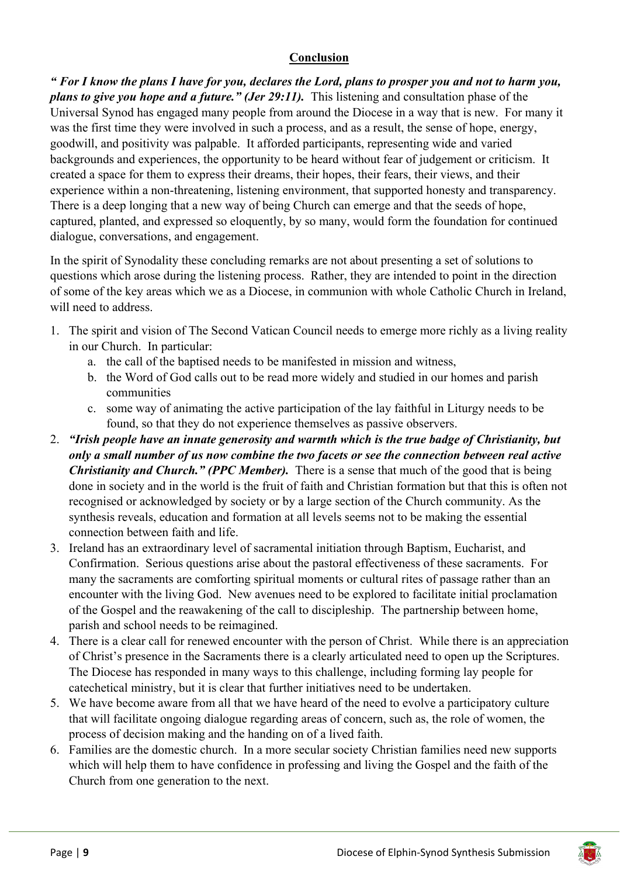#### **Conclusion**

*" For I know the plans I have for you, declares the Lord, plans to prosper you and not to harm you, plans to give you hope and a future." (Jer 29:11).* This listening and consultation phase of the Universal Synod has engaged many people from around the Diocese in a way that is new. For many it was the first time they were involved in such a process, and as a result, the sense of hope, energy, goodwill, and positivity was palpable. It afforded participants, representing wide and varied backgrounds and experiences, the opportunity to be heard without fear of judgement or criticism. It created a space for them to express their dreams, their hopes, their fears, their views, and their experience within a non-threatening, listening environment, that supported honesty and transparency. There is a deep longing that a new way of being Church can emerge and that the seeds of hope, captured, planted, and expressed so eloquently, by so many, would form the foundation for continued dialogue, conversations, and engagement.

In the spirit of Synodality these concluding remarks are not about presenting a set of solutions to questions which arose during the listening process. Rather, they are intended to point in the direction of some of the key areas which we as a Diocese, in communion with whole Catholic Church in Ireland, will need to address.

- 1. The spirit and vision of The Second Vatican Council needs to emerge more richly as a living reality in our Church. In particular:
	- a. the call of the baptised needs to be manifested in mission and witness,
	- b. the Word of God calls out to be read more widely and studied in our homes and parish communities
	- c. some way of animating the active participation of the lay faithful in Liturgy needs to be found, so that they do not experience themselves as passive observers.
- 2. *"Irish people have an innate generosity and warmth which is the true badge of Christianity, but only a small number of us now combine the two facets or see the connection between real active Christianity and Church." (PPC Member).* There is a sense that much of the good that is being done in society and in the world is the fruit of faith and Christian formation but that this is often not recognised or acknowledged by society or by a large section of the Church community. As the synthesis reveals, education and formation at all levels seems not to be making the essential connection between faith and life.
- 3. Ireland has an extraordinary level of sacramental initiation through Baptism, Eucharist, and Confirmation. Serious questions arise about the pastoral effectiveness of these sacraments. For many the sacraments are comforting spiritual moments or cultural rites of passage rather than an encounter with the living God. New avenues need to be explored to facilitate initial proclamation of the Gospel and the reawakening of the call to discipleship. The partnership between home, parish and school needs to be reimagined.
- 4. There is a clear call for renewed encounter with the person of Christ. While there is an appreciation of Christ's presence in the Sacraments there is a clearly articulated need to open up the Scriptures. The Diocese has responded in many ways to this challenge, including forming lay people for catechetical ministry, but it is clear that further initiatives need to be undertaken.
- 5. We have become aware from all that we have heard of the need to evolve a participatory culture that will facilitate ongoing dialogue regarding areas of concern, such as, the role of women, the process of decision making and the handing on of a lived faith.
- 6. Families are the domestic church. In a more secular society Christian families need new supports which will help them to have confidence in professing and living the Gospel and the faith of the Church from one generation to the next.